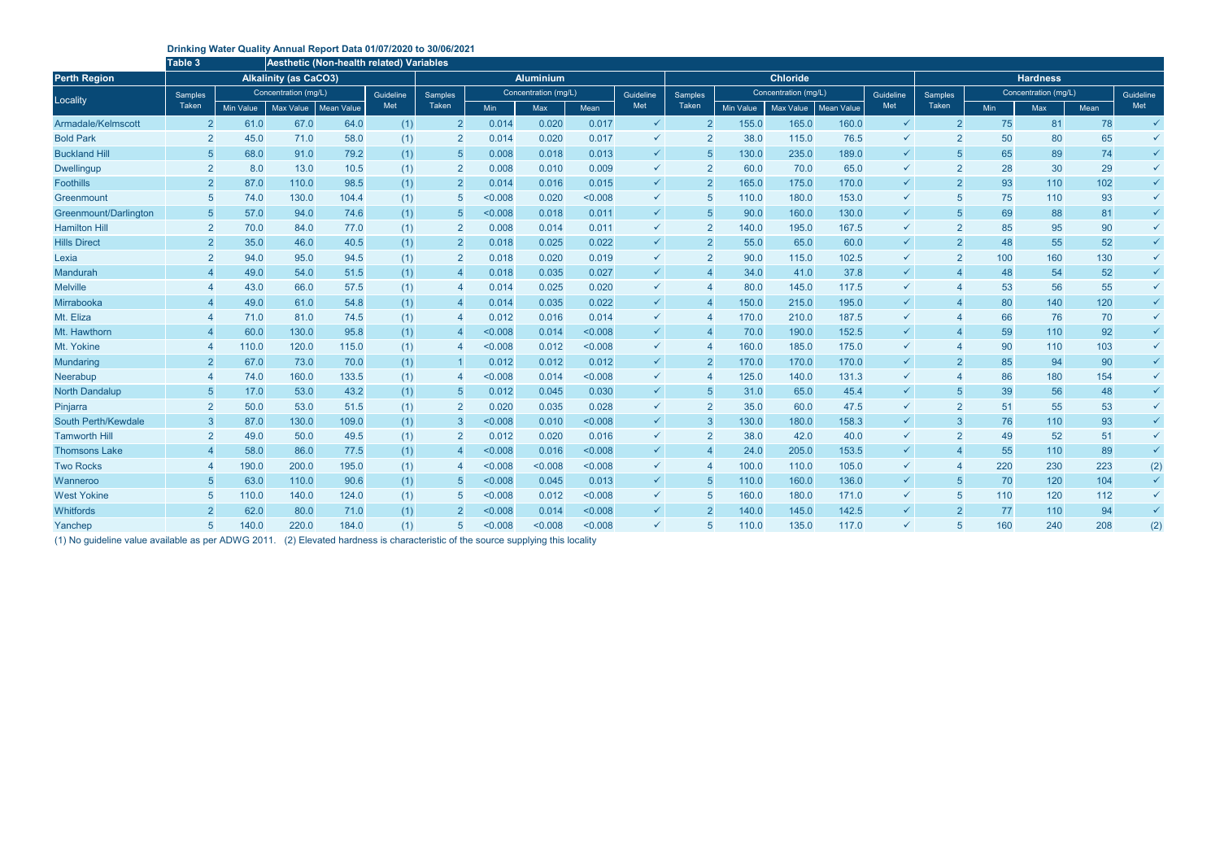## **Drinking Water Quality Annual Report Data 01/07/2020 to 30/06/2021**

|                       | <b>Table 3</b>   |                  |                              | Aesthetic (Non-health related) Variables |           |                  |         |                      |             |              |                |                      |                  |                   |              |                |                      |     |      |              |  |
|-----------------------|------------------|------------------|------------------------------|------------------------------------------|-----------|------------------|---------|----------------------|-------------|--------------|----------------|----------------------|------------------|-------------------|--------------|----------------|----------------------|-----|------|--------------|--|
| <b>Perth Region</b>   |                  |                  | <b>Alkalinity (as CaCO3)</b> |                                          |           | <b>Aluminium</b> |         |                      |             |              |                | <b>Chloride</b>      |                  |                   |              |                | <b>Hardness</b>      |     |      |              |  |
| Locality              | Samples<br>Taken |                  | Concentration (mg/L)         |                                          | Guideline | Samples          |         | Concentration (mg/L) |             | Guideline    | Samples        | Concentration (mg/L) |                  |                   | Guideline    | <b>Samples</b> | Concentration (mg/L) |     |      | Guideline    |  |
|                       |                  | <b>Min Value</b> | Max Value                    | <b>Mean Value</b>                        | Met       | Taken            | Min     | <b>Max</b>           | <b>Mean</b> | Met          | Taken          | <b>Min Value</b>     | <b>Max Value</b> | <b>Mean Value</b> | Met          | Taken          | <b>Min</b>           | Max | Mean | Met          |  |
| Armadale/Kelmscott    | $\overline{2}$   | 61.0             | 67.0                         | 64.0                                     | (1)       | $\overline{2}$   | 0.014   | 0.020                | 0.017       | $\checkmark$ | $\overline{2}$ | 155.0                | 165.0            | 160.0             | $\checkmark$ | $\overline{2}$ | 75                   | 81  | 78   | $\checkmark$ |  |
| <b>Bold Park</b>      | $\overline{2}$   | 45.0             | 71.0                         | 58.0                                     | (1)       | $\overline{2}$   | 0.014   | 0.020                | 0.017       | $\checkmark$ | $\overline{2}$ | 38.0                 | 115.0            | 76.5              | ✓            | $\overline{2}$ | 50                   | 80  | 65   | $\checkmark$ |  |
| <b>Buckland Hill</b>  | $\sqrt{5}$       | 68.0             | 91.0                         | 79.2                                     | (1)       | 5                | 0.008   | 0.018                | 0.013       | $\checkmark$ | $\overline{5}$ | 130.0                | 235.0            | 189.0             | ✓            | -5             | 65                   | 89  | 74   | $\checkmark$ |  |
| <b>Dwellingup</b>     | $\overline{2}$   | 8.0              | 13.0                         | 10.5                                     | (1)       | $\overline{2}$   | 0.008   | 0.010                | 0.009       | $\checkmark$ | 2              | 60.0                 | 70.0             | 65.0              | $\checkmark$ | $\overline{2}$ | 28                   | 30  | 29   | $\checkmark$ |  |
| <b>Foothills</b>      | $\overline{2}$   | 87.0             | 110.0                        | 98.5                                     | (1)       | $\overline{2}$   | 0.014   | 0.016                | 0.015       | $\checkmark$ | $\overline{2}$ | 165.0                | 175.0            | 170.0             | $\checkmark$ | $\overline{2}$ | 93                   | 110 | 102  | $\checkmark$ |  |
| Greenmount            | -5               | 74.0             | 130.0                        | 104.4                                    | (1)       | 5                | < 0.008 | 0.020                | < 0.008     | $\checkmark$ | $\overline{5}$ | 110.0                | 180.0            | 153.0             | ✓            | -5             | 75                   | 110 | 93   | $\checkmark$ |  |
| Greenmount/Darlington | -5               | 57.0             | 94.0                         | 74.6                                     | (1)       | 5                | < 0.008 | 0.018                | 0.011       | $\checkmark$ | $\sqrt{5}$     | 90.0                 | 160.0            | 130.0             | ✓            | 5              | 69                   | 88  | 81   | $\checkmark$ |  |
| <b>Hamilton Hill</b>  | $\overline{2}$   | 70.0             | 84.0                         | 77.0                                     | (1)       | $\overline{2}$   | 0.008   | 0.014                | 0.011       | $\checkmark$ | $\overline{2}$ | 140.0                | 195.0            | 167.5             | ✓            | $\overline{2}$ | 85                   | 95  | 90   | $\checkmark$ |  |
| <b>Hills Direct</b>   | $\overline{2}$   | 35.0             | 46.0                         | 40.5                                     | (1)       | $\overline{2}$   | 0.018   | 0.025                | 0.022       | $\checkmark$ | $\overline{2}$ | 55.0                 | 65.0             | 60.0              | ✓            | $\overline{2}$ | 48                   | 55  | 52   | $\checkmark$ |  |
| Lexia                 | $\overline{2}$   | 94.0             | 95.0                         | 94.5                                     | (1)       | $\overline{2}$   | 0.018   | 0.020                | 0.019       | ✓            | $\overline{2}$ | 90.0                 | 115.0            | 102.5             | ✓            | $\overline{2}$ | 100                  | 160 | 130  | $\checkmark$ |  |
| Mandurah              |                  | 49.0             | 54.0                         | 51.5                                     | (1)       | $\overline{4}$   | 0.018   | 0.035                | 0.027       | $\checkmark$ | $\overline{4}$ | 34.0                 | 41.0             | 37.8              | ✓            |                | 48                   | 54  | 52   | $\checkmark$ |  |
| <b>Melville</b>       |                  | 43.0             | 66.0                         | 57.5                                     | (1)       | $\overline{4}$   | 0.014   | 0.025                | 0.020       | $\checkmark$ | $\overline{4}$ | 80.0                 | 145.0            | 117.5             | ✓            |                | 53                   | 56  | 55   | $\checkmark$ |  |
| Mirrabooka            |                  | 49.0             | 61.0                         | 54.8                                     | (1)       | $\overline{4}$   | 0.014   | 0.035                | 0.022       | $\checkmark$ | $\overline{4}$ | 150.0                | 215.0            | 195.0             | $\checkmark$ | $\overline{4}$ | 80                   | 140 | 120  | $\checkmark$ |  |
| Mt. Eliza             |                  | 71.0             | 81.0                         | 74.5                                     | (1)       | $\overline{4}$   | 0.012   | 0.016                | 0.014       | ✓            | $\overline{4}$ | 170.0                | 210.0            | 187.5             | ✓            |                | 66                   | 76  | 70   | $\checkmark$ |  |
| Mt. Hawthorn          |                  | 60.0             | 130.0                        | 95.8                                     | (1)       | $\overline{4}$   | < 0.008 | 0.014                | < 0.008     | $\checkmark$ | $\overline{4}$ | 70.0                 | 190.0            | 152.5             | ✓            |                | 59                   | 110 | 92   | $\checkmark$ |  |
| Mt. Yokine            |                  | 110.0            | 120.0                        | 115.0                                    | (1)       | $\overline{4}$   | < 0.008 | 0.012                | < 0.008     | ✓            | $\overline{4}$ | 160.0                | 185.0            | 175.0             | ✓            |                | 90                   | 110 | 103  | $\checkmark$ |  |
| Mundaring             | $\overline{2}$   | 67.0             | 73.0                         | 70.0                                     | (1)       |                  | 0.012   | 0.012                | 0.012       | $\checkmark$ | $\overline{2}$ | 170.0                | 170.0            | 170.0             | $\checkmark$ | $\overline{2}$ | 85                   | 94  | 90   | $\checkmark$ |  |
| Neerabup              |                  | 74.0             | 160.0                        | 133.5                                    | (1)       | $\overline{4}$   | < 0.008 | 0.014                | < 0.008     | $\checkmark$ | 4              | 125.0                | 140.0            | 131.3             | ✓            | 4              | 86                   | 180 | 154  | $\checkmark$ |  |
| <b>North Dandalup</b> | -5               | 17.0             | 53.0                         | 43.2                                     | (1)       | $\overline{5}$   | 0.012   | 0.045                | 0.030       | $\checkmark$ | $\overline{5}$ | 31.0                 | 65.0             | 45.4              | $\checkmark$ | 5              | 39                   | 56  | 48   | $\checkmark$ |  |
| Pinjarra              | $\overline{2}$   | 50.0             | 53.0                         | 51.5                                     | (1)       | $\overline{2}$   | 0.020   | 0.035                | 0.028       | $\checkmark$ | $\overline{2}$ | 35.0                 | 60.0             | 47.5              | ✓            | $\overline{2}$ | 51                   | 55  | 53   | $\checkmark$ |  |
| South Perth/Kewdale   | $\overline{3}$   | 87.0             | 130.0                        | 109.0                                    | (1)       | $\overline{3}$   | < 0.008 | 0.010                | < 0.008     | $\checkmark$ | $\mathbf{3}$   | 130.0                | 180.0            | 158.3             | ✓            | 3              | 76                   | 110 | 93   | $\checkmark$ |  |
| <b>Tamworth Hill</b>  | $\overline{2}$   | 49.0             | 50.0                         | 49.5                                     | (1)       | $\overline{2}$   | 0.012   | 0.020                | 0.016       | ✓            | $\overline{2}$ | 38.0                 | 42.0             | 40.0              | ✓            | $\overline{2}$ | 49                   | 52  | 51   | $\checkmark$ |  |
| <b>Thomsons Lake</b>  |                  | 58.0             | 86.0                         | 77.5                                     | (1)       | $\overline{4}$   | < 0.008 | 0.016                | < 0.008     | $\checkmark$ | $\overline{4}$ | 24.0                 | 205.0            | 153.5             | ✓            |                | 55                   | 110 | 89   | $\checkmark$ |  |
| <b>Two Rocks</b>      |                  | 190.0            | 200.0                        | 195.0                                    | (1)       | $\overline{4}$   | < 0.008 | < 0.008              | < 0.008     | $\checkmark$ | $\overline{4}$ | 100.0                | 110.0            | 105.0             | ✓            | $\overline{4}$ | 220                  | 230 | 223  | (2)          |  |
| Wanneroo              | -5               | 63.0             | 110.0                        | 90.6                                     | (1)       | 5                | < 0.008 | 0.045                | 0.013       | $\checkmark$ | $\overline{5}$ | 110.0                | 160.0            | 136.0             | ✓            | -5             | 70                   | 120 | 104  | $\checkmark$ |  |
| <b>West Yokine</b>    | -5               | 110.0            | 140.0                        | 124.0                                    | (1)       | 5                | < 0.008 | 0.012                | < 0.008     | $\checkmark$ | $\overline{5}$ | 160.0                | 180.0            | 171.0             | ✓            | 5              | 110                  | 120 | 112  | $\checkmark$ |  |
| Whitfords             | $\overline{2}$   | 62.0             | 80.0                         | 71.0                                     | (1)       | $\overline{2}$   | < 0.008 | 0.014                | < 0.008     | $\checkmark$ | $\overline{2}$ | 140.0                | 145.0            | 142.5             | ✓            | $\overline{2}$ | 77                   | 110 | 94   | $\checkmark$ |  |
| Yanchep               | 5                | 140.0            | 220.0                        | 184.0                                    | (1)       | 5                | < 0.008 | < 0.008              | < 0.008     | ✓            | 5              | 110.0                | 135.0            | 117.0             | $\checkmark$ | $\overline{5}$ | 160                  | 240 | 208  | (2)          |  |

(1) No guideline value available as per ADWG 2011. (2) Elevated hardness is characteristic of the source supplying this locality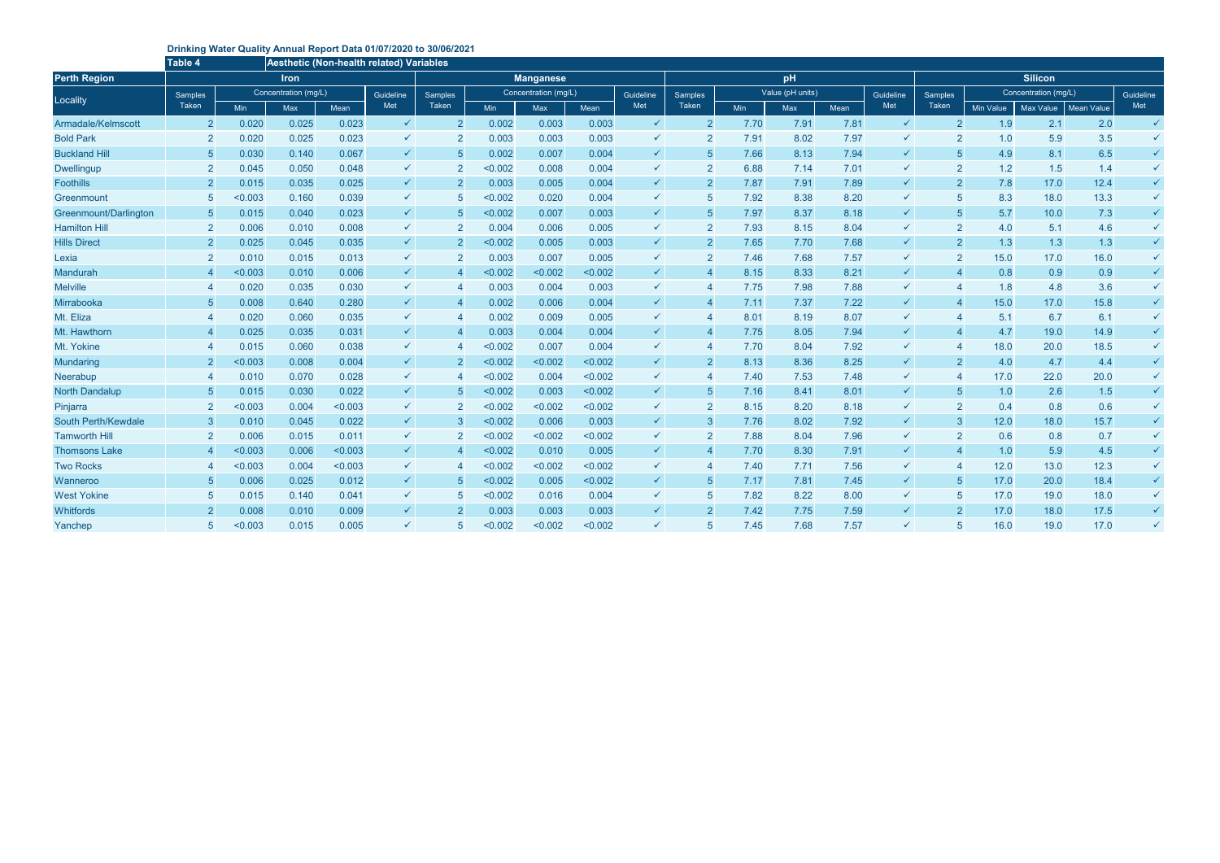## **Drinking Water Quality Annual Report Data 01/07/2020 to 30/06/2021**

|                       | Aesthetic (Non-health related <u>) Variables</u><br>Table 4 |            |                      |         |              |                |                      |            |             |                |                  |      |      |           |                |                      |                  |           |                   |              |  |
|-----------------------|-------------------------------------------------------------|------------|----------------------|---------|--------------|----------------|----------------------|------------|-------------|----------------|------------------|------|------|-----------|----------------|----------------------|------------------|-----------|-------------------|--------------|--|
| <b>Perth Region</b>   | <b>Iron</b>                                                 |            |                      |         |              |                | <b>Manganese</b>     |            |             |                |                  |      | pH   |           |                | <b>Silicon</b>       |                  |           |                   |              |  |
| Locality              | <b>Samples</b>                                              |            | Concentration (mg/L) |         | Guideline    | <b>Samples</b> | Concentration (mg/L) |            | Guideline   | <b>Samples</b> | Value (pH units) |      |      | Guideline | <b>Samples</b> | Concentration (mg/L) |                  | Guideline |                   |              |  |
|                       | Taken                                                       | <b>Min</b> | <b>Max</b>           | Mean    | Met          | <b>Taken</b>   | <b>Min</b>           | <b>Max</b> | <b>Mean</b> | Met            | Taken            | Min  | Max  | Mean      | Met            | Taken                | <b>Min Value</b> | Max Value | <b>Mean Value</b> | Met          |  |
| Armadale/Kelmscott    | $\overline{2}$                                              | 0.020      | 0.025                | 0.023   | $\checkmark$ | $\overline{2}$ | 0.002                | 0.003      | 0.003       | $\checkmark$   | $\overline{2}$   | 7.70 | 7.91 | 7.81      | $\checkmark$   | $\overline{2}$       | 1.9              | 2.1       | 2.0               | $\checkmark$ |  |
| <b>Bold Park</b>      | $\overline{2}$                                              | 0.020      | 0.025                | 0.023   | $\checkmark$ | $\overline{2}$ | 0.003                | 0.003      | 0.003       | $\checkmark$   | 2                | 7.91 | 8.02 | 7.97      | ✓              | $\overline{2}$       | 1.0              | 5.9       | 3.5               | $\checkmark$ |  |
| <b>Buckland Hill</b>  | -5                                                          | 0.030      | 0.140                | 0.067   | $\checkmark$ | 5              | 0.002                | 0.007      | 0.004       | $\checkmark$   | $\overline{5}$   | 7.66 | 8.13 | 7.94      | $\checkmark$   | 5                    | 4.9              | 8.1       | 6.5               | $\checkmark$ |  |
| <b>Dwellingup</b>     | $\overline{2}$                                              | 0.045      | 0.050                | 0.048   | $\checkmark$ | $\overline{2}$ | < 0.002              | 0.008      | 0.004       | ✓              | $\overline{2}$   | 6.88 | 7.14 | 7.01      | $\checkmark$   | $\overline{2}$       | 1.2              | 1.5       | 1.4               | $\checkmark$ |  |
| <b>Foothills</b>      | $\overline{2}$                                              | 0.015      | 0.035                | 0.025   | $\checkmark$ | $\overline{2}$ | 0.003                | 0.005      | 0.004       | ✓              | $\overline{2}$   | 7.87 | 7.91 | 7.89      | $\checkmark$   | $\overline{2}$       | 7.8              | 17.0      | 12.4              | $\checkmark$ |  |
| Greenmount            | 5                                                           | < 0.003    | 0.160                | 0.039   | $\checkmark$ | 5              | < 0.002              | 0.020      | 0.004       | ✓              | 5                | 7.92 | 8.38 | 8.20      | $\checkmark$   | 5                    | 8.3              | 18.0      | 13.3              | $\checkmark$ |  |
| Greenmount/Darlington | -5                                                          | 0.015      | 0.040                | 0.023   | $\checkmark$ | 5              | < 0.002              | 0.007      | 0.003       | $\checkmark$   | $\sqrt{5}$       | 7.97 | 8.37 | 8.18      | $\checkmark$   | 5                    | 5.7              | 10.0      | 7.3               | $\checkmark$ |  |
| <b>Hamilton Hill</b>  | $\overline{2}$                                              | 0.006      | 0.010                | 0.008   | $\checkmark$ | $\overline{2}$ | 0.004                | 0.006      | 0.005       | $\checkmark$   | $\overline{2}$   | 7.93 | 8.15 | 8.04      | $\checkmark$   | $\overline{2}$       | 4.0              | 5.1       | 4.6               | $\checkmark$ |  |
| <b>Hills Direct</b>   | $\overline{2}$                                              | 0.025      | 0.045                | 0.035   | $\checkmark$ | $\overline{2}$ | < 0.002              | 0.005      | 0.003       | $\checkmark$   | $\overline{2}$   | 7.65 | 7.70 | 7.68      | $\checkmark$   | $\overline{2}$       | 1.3              | 1.3       | 1.3               | $\checkmark$ |  |
| Lexia                 | $\overline{2}$                                              | 0.010      | 0.015                | 0.013   | $\checkmark$ | $\overline{2}$ | 0.003                | 0.007      | 0.005       | $\checkmark$   | $\overline{2}$   | 7.46 | 7.68 | 7.57      | $\checkmark$   | $\overline{2}$       | 15.0             | 17.0      | 16.0              | $\checkmark$ |  |
| <b>Mandurah</b>       |                                                             | < 0.003    | 0.010                | 0.006   | $\checkmark$ | $\overline{4}$ | < 0.002              | < 0.002    | < 0.002     | $\checkmark$   | $\overline{4}$   | 8.15 | 8.33 | 8.21      | $\checkmark$   | $\overline{4}$       | 0.8              | 0.9       | 0.9               | $\checkmark$ |  |
| <b>Melville</b>       |                                                             | 0.020      | 0.035                | 0.030   | $\checkmark$ | $\overline{4}$ | 0.003                | 0.004      | 0.003       | $\checkmark$   | $\overline{4}$   | 7.75 | 7.98 | 7.88      | $\checkmark$   |                      | 1.8              | 4.8       | 3.6               | $\checkmark$ |  |
| Mirrabooka            | -5                                                          | 0.008      | 0.640                | 0.280   | $\checkmark$ |                | 0.002                | 0.006      | 0.004       | $\checkmark$   | $\overline{4}$   | 7.11 | 7.37 | 7.22      | $\checkmark$   | 4                    | 15.0             | 17.0      | 15.8              | $\checkmark$ |  |
| Mt. Eliza             |                                                             | 0.020      | 0.060                | 0.035   | $\checkmark$ | $\overline{4}$ | 0.002                | 0.009      | 0.005       | ✓              | $\overline{4}$   | 8.01 | 8.19 | 8.07      | ✓              | -4                   | 5.1              | 6.7       | 6.1               | $\checkmark$ |  |
| Mt. Hawthorn          |                                                             | 0.025      | 0.035                | 0.031   | $\checkmark$ | $\overline{4}$ | 0.003                | 0.004      | 0.004       | $\checkmark$   | $\overline{4}$   | 7.75 | 8.05 | 7.94      | $\checkmark$   |                      | 4.7              | 19.0      | 14.9              | $\checkmark$ |  |
| Mt. Yokine            |                                                             | 0.015      | 0.060                | 0.038   | $\checkmark$ |                | < 0.002              | 0.007      | 0.004       | $\checkmark$   | $\overline{4}$   | 7.70 | 8.04 | 7.92      | $\checkmark$   | -4                   | 18.0             | 20.0      | 18.5              | $\checkmark$ |  |
| <b>Mundaring</b>      |                                                             | < 0.003    | 0.008                | 0.004   | $\checkmark$ | $\overline{2}$ | < 0.002              | < 0.002    | < 0.002     | ✓              | $\overline{2}$   | 8.13 | 8.36 | 8.25      | $\checkmark$   | $\overline{2}$       | 4.0              | 4.7       | 4.4               | $\checkmark$ |  |
| Neerabup              |                                                             | 0.010      | 0.070                | 0.028   | $\checkmark$ | $\overline{A}$ | < 0.002              | 0.004      | < 0.002     | ✓              | $\overline{4}$   | 7.40 | 7.53 | 7.48      | ✓              | 4                    | 17.0             | 22.0      | 20.0              | $\checkmark$ |  |
| <b>North Dandalup</b> | -5                                                          | 0.015      | 0.030                | 0.022   | $\checkmark$ | 5              | < 0.002              | 0.003      | < 0.002     | $\checkmark$   | $\overline{5}$   | 7.16 | 8.41 | 8.01      | $\checkmark$   | $5\overline{5}$      | 1.0              | 2.6       | 1.5               | $\checkmark$ |  |
| Pinjarra              | $\overline{2}$                                              | < 0.003    | 0.004                | < 0.003 | $\checkmark$ | $\overline{2}$ | < 0.002              | < 0.002    | < 0.002     | ✓              | $\overline{2}$   | 8.15 | 8.20 | 8.18      | ✓              | $\overline{2}$       | 0.4              | 0.8       | 0.6               | $\checkmark$ |  |
| South Perth/Kewdale   | -3                                                          | 0.010      | 0.045                | 0.022   | $\checkmark$ | 3              | < 0.002              | 0.006      | 0.003       | $\checkmark$   | $\mathbf{3}$     | 7.76 | 8.02 | 7.92      | $\checkmark$   | 3                    | 12.0             | 18.0      | 15.7              | $\checkmark$ |  |
| <b>Tamworth Hill</b>  | $\overline{2}$                                              | 0.006      | 0.015                | 0.011   | $\checkmark$ | $\overline{2}$ | < 0.002              | < 0.002    | < 0.002     | $\checkmark$   | $\overline{2}$   | 7.88 | 8.04 | 7.96      | $\checkmark$   | $\overline{2}$       | 0.6              | 0.8       | 0.7               | $\checkmark$ |  |
| <b>Thomsons Lake</b>  |                                                             | < 0.003    | 0.006                | < 0.003 | $\checkmark$ | $\overline{4}$ | < 0.002              | 0.010      | 0.005       | ✓              | $\overline{4}$   | 7.70 | 8.30 | 7.91      | $\checkmark$   | $\overline{4}$       | 1.0              | 5.9       | 4.5               | $\checkmark$ |  |
| <b>Two Rocks</b>      |                                                             | < 0.003    | 0.004                | < 0.003 | $\checkmark$ | 4              | < 0.002              | < 0.002    | < 0.002     | ✓              | $\overline{4}$   | 7.40 | 7.71 | 7.56      | $\checkmark$   | $\overline{4}$       | 12.0             | 13.0      | 12.3              | $\checkmark$ |  |
| Wanneroo              | -5                                                          | 0.006      | 0.025                | 0.012   | $\checkmark$ | 5              | < 0.002              | 0.005      | < 0.002     | $\checkmark$   | $\sqrt{5}$       | 7.17 | 7.81 | 7.45      | $\checkmark$   | $5\overline{)}$      | 17.0             | 20.0      | 18.4              | $\checkmark$ |  |
| <b>West Yokine</b>    | -5                                                          | 0.015      | 0.140                | 0.041   | $\checkmark$ | 5              | < 0.002              | 0.016      | 0.004       | $\checkmark$   | $5\phantom{.0}$  | 7.82 | 8.22 | 8.00      | $\checkmark$   | $5\overline{5}$      | 17.0             | 19.0      | 18.0              | $\checkmark$ |  |
| Whitfords             | $\overline{2}$                                              | 0.008      | 0.010                | 0.009   | $\checkmark$ | $\overline{2}$ | 0.003                | 0.003      | 0.003       | ✓              | $\overline{2}$   | 7.42 | 7.75 | 7.59      | $\checkmark$   | $\overline{2}$       | 17.0             | 18.0      | 17.5              | $\checkmark$ |  |
| Yanchep               | 5                                                           | < 0.003    | 0.015                | 0.005   | ✓            |                | < 0.002              | < 0.002    | < 0.002     | ✓              | $\overline{5}$   | 7.45 | 7.68 | 7.57      | ✓              | 5                    | 16.0             | 19.0      | 17.0              | $\checkmark$ |  |
|                       |                                                             |            |                      |         |              |                |                      |            |             |                |                  |      |      |           |                |                      |                  |           |                   |              |  |